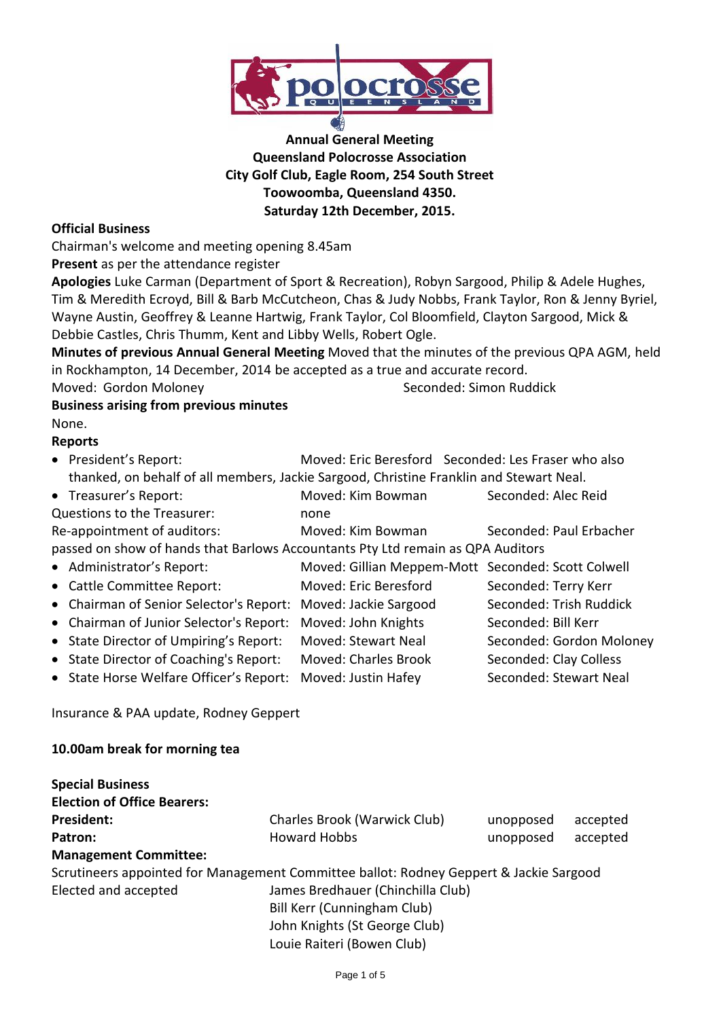

# **Annual General Meeting Queensland Polocrosse Association City Golf Club, Eagle Room, 254 South Street Toowoomba, Queensland 4350. Saturday 12th December, 2015.**

## **Official Business**

Chairman's welcome and meeting opening 8.45am

**Present** as per the attendance register

**Apologies** Luke Carman (Department of Sport & Recreation), Robyn Sargood, Philip & Adele Hughes, Tim & Meredith Ecroyd, Bill & Barb McCutcheon, Chas & Judy Nobbs, Frank Taylor, Ron & Jenny Byriel, Wayne Austin, Geoffrey & Leanne Hartwig, Frank Taylor, Col Bloomfield, Clayton Sargood, Mick & Debbie Castles, Chris Thumm, Kent and Libby Wells, Robert Ogle.

**Minutes of previous Annual General Meeting** Moved that the minutes of the previous QPA AGM, held in Rockhampton, 14 December, 2014 be accepted as a true and accurate record.

Moved: Gordon Moloney Seconded: Simon Ruddick

## **Business arising from previous minutes** None.

# **Reports**

| thanked, on behalf of all members, Jackie Sargood, Christine Franklin and Stewart Neal. |                          |  |  |  |  |
|-----------------------------------------------------------------------------------------|--------------------------|--|--|--|--|
| • Treasurer's Report:<br>Moved: Kim Bowman                                              | Seconded: Alec Reid      |  |  |  |  |
| Questions to the Treasurer:<br>none                                                     |                          |  |  |  |  |
| Re-appointment of auditors:<br>Moved: Kim Bowman                                        | Seconded: Paul Erbacher  |  |  |  |  |
| passed on show of hands that Barlows Accountants Pty Ltd remain as QPA Auditors         |                          |  |  |  |  |
| • Administrator's Report:<br>Moved: Gillian Meppem-Mott Seconded: Scott Colwell         |                          |  |  |  |  |
| Moved: Eric Beresford<br>• Cattle Committee Report:                                     | Seconded: Terry Kerr     |  |  |  |  |
| • Chairman of Senior Selector's Report:<br>Moved: Jackie Sargood                        | Seconded: Trish Ruddick  |  |  |  |  |
| • Chairman of Junior Selector's Report:<br>Moved: John Knights                          | Seconded: Bill Kerr      |  |  |  |  |
| • State Director of Umpiring's Report:<br>Moved: Stewart Neal                           | Seconded: Gordon Moloney |  |  |  |  |
| • State Director of Coaching's Report:<br><b>Moved: Charles Brook</b>                   | Seconded: Clay Colless   |  |  |  |  |
| • State Horse Welfare Officer's Report:<br>Moved: Justin Hafey                          | Seconded: Stewart Neal   |  |  |  |  |

Insurance & PAA update, Rodney Geppert

# **10.00am break for morning tea**

| <b>Special Business</b>            |                                                                                        |           |          |  |
|------------------------------------|----------------------------------------------------------------------------------------|-----------|----------|--|
| <b>Election of Office Bearers:</b> |                                                                                        |           |          |  |
| <b>President:</b>                  | Charles Brook (Warwick Club)                                                           | unopposed | accepted |  |
| Patron:                            | <b>Howard Hobbs</b>                                                                    | unopposed | accepted |  |
| <b>Management Committee:</b>       |                                                                                        |           |          |  |
|                                    | Scrutineers appointed for Management Committee ballot: Rodney Geppert & Jackie Sargood |           |          |  |
| Elected and accepted               | James Bredhauer (Chinchilla Club)                                                      |           |          |  |
|                                    | Bill Kerr (Cunningham Club)                                                            |           |          |  |
|                                    | John Knights (St George Club)                                                          |           |          |  |
|                                    | Louie Raiteri (Bowen Club)                                                             |           |          |  |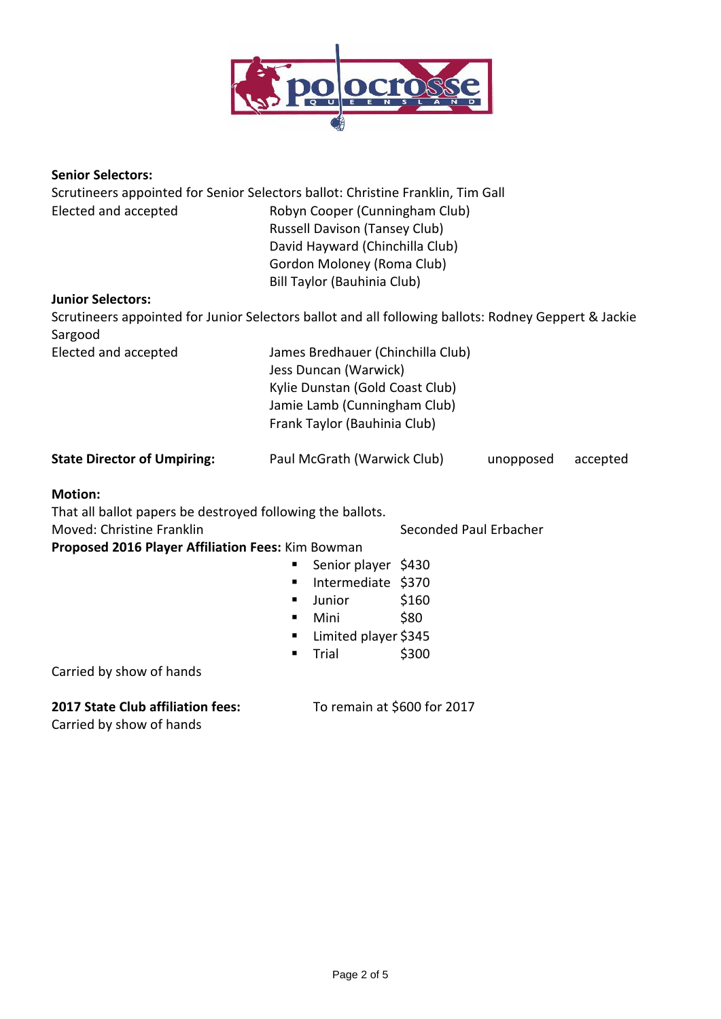

## **Senior Selectors:**

| Scrutineers appointed for Senior Selectors ballot: Christine Franklin, Tim Gall<br>Elected and accepted<br><b>Junior Selectors:</b>                                                        | Robyn Cooper (Cunningham Club)<br><b>Russell Davison (Tansey Club)</b><br>David Hayward (Chinchilla Club)<br>Gordon Moloney (Roma Club)<br><b>Bill Taylor (Bauhinia Club)</b> |                                                  |  |  |  |
|--------------------------------------------------------------------------------------------------------------------------------------------------------------------------------------------|-------------------------------------------------------------------------------------------------------------------------------------------------------------------------------|--------------------------------------------------|--|--|--|
| Scrutineers appointed for Junior Selectors ballot and all following ballots: Rodney Geppert & Jackie<br>Sargood                                                                            |                                                                                                                                                                               |                                                  |  |  |  |
| Elected and accepted                                                                                                                                                                       | James Bredhauer (Chinchilla Club)<br>Jess Duncan (Warwick)<br>Kylie Dunstan (Gold Coast Club)<br>Jamie Lamb (Cunningham Club)<br>Frank Taylor (Bauhinia Club)                 |                                                  |  |  |  |
| <b>State Director of Umpiring:</b>                                                                                                                                                         | Paul McGrath (Warwick Club)<br>unopposed<br>accepted                                                                                                                          |                                                  |  |  |  |
| <b>Motion:</b><br>That all ballot papers be destroyed following the ballots.<br>Moved: Christine Franklin<br>Proposed 2016 Player Affiliation Fees: Kim Bowman<br>Carried by show of hands | Senior player \$430<br>٠<br>Intermediate \$370<br>٠<br>Junior<br>٠<br>Mini<br>٠<br>Limited player \$345<br>Trial<br>٠                                                         | Seconded Paul Erbacher<br>\$160<br>\$80<br>\$300 |  |  |  |
|                                                                                                                                                                                            |                                                                                                                                                                               |                                                  |  |  |  |

# **2017 State Club affiliation fees:** To remain at \$600 for 2017

Carried by show of hands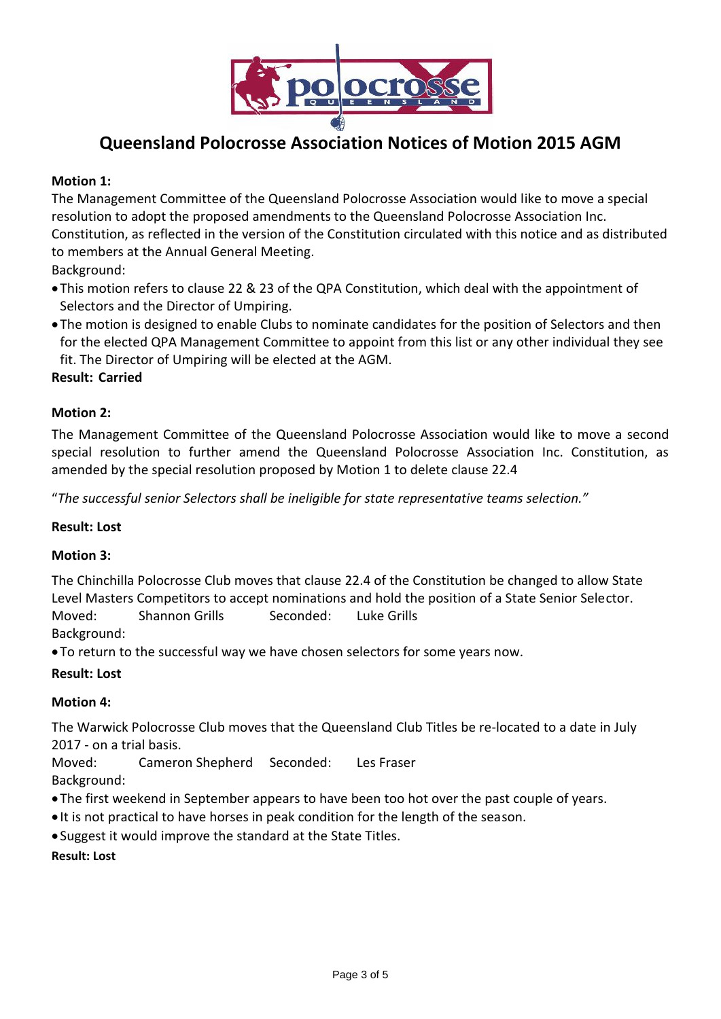

# **Queensland Polocrosse Association Notices of Motion 2015 AGM**

# **Motion 1:**

The Management Committee of the Queensland Polocrosse Association would like to move a special resolution to adopt the proposed amendments to the Queensland Polocrosse Association Inc. Constitution, as reflected in the version of the Constitution circulated with this notice and as distributed to members at the Annual General Meeting.

Background:

- This motion refers to clause 22 & 23 of the QPA Constitution, which deal with the appointment of Selectors and the Director of Umpiring.
- The motion is designed to enable Clubs to nominate candidates for the position of Selectors and then for the elected QPA Management Committee to appoint from this list or any other individual they see fit. The Director of Umpiring will be elected at the AGM.

## **Result: Carried**

## **Motion 2:**

The Management Committee of the Queensland Polocrosse Association would like to move a second special resolution to further amend the Queensland Polocrosse Association Inc. Constitution, as amended by the special resolution proposed by Motion 1 to delete clause 22.4

"*The successful senior Selectors shall be ineligible for state representative teams selection."* 

#### **Result: Lost**

#### **Motion 3:**

The Chinchilla Polocrosse Club moves that clause 22.4 of the Constitution be changed to allow State Level Masters Competitors to accept nominations and hold the position of a State Senior Selector. Moved: Shannon Grills Seconded: Luke Grills Background:

To return to the successful way we have chosen selectors for some years now.

#### **Result: Lost**

# **Motion 4:**

The Warwick Polocrosse Club moves that the Queensland Club Titles be re-located to a date in July 2017 - on a trial basis.

Moved: Cameron Shepherd Seconded: Les Fraser Background:

- The first weekend in September appears to have been too hot over the past couple of years.
- It is not practical to have horses in peak condition for the length of the season.
- Suggest it would improve the standard at the State Titles.

#### **Result: Lost**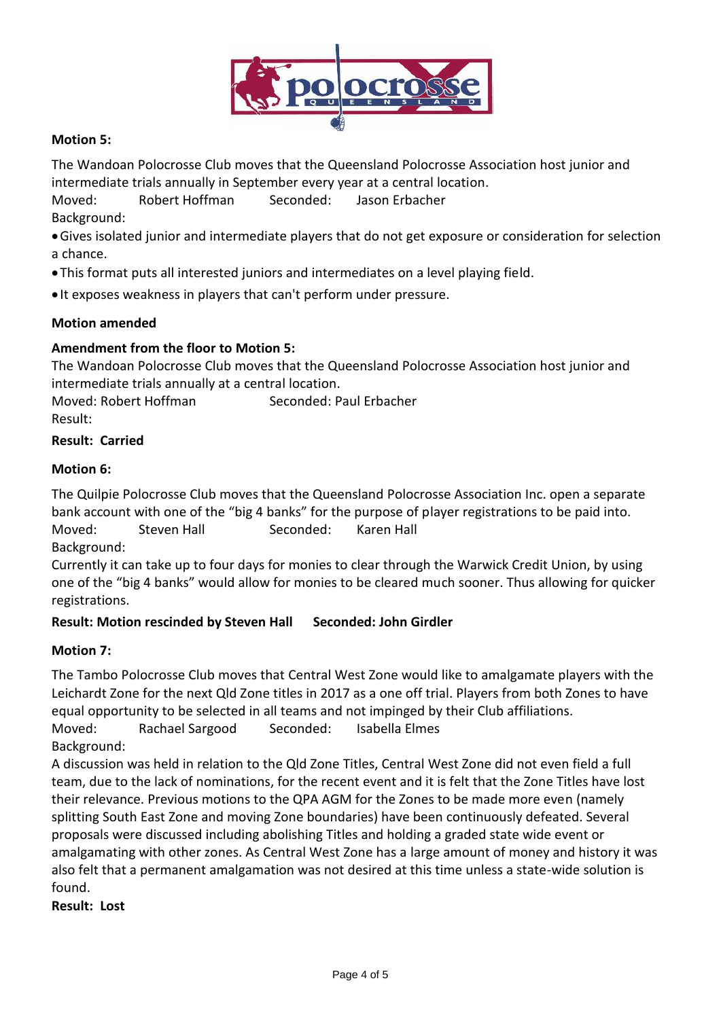

# **Motion 5:**

The Wandoan Polocrosse Club moves that the Queensland Polocrosse Association host junior and intermediate trials annually in September every year at a central location.

Moved: Robert Hoffman Seconded: Jason Erbacher Background:

- Gives isolated junior and intermediate players that do not get exposure or consideration for selection a chance.
- This format puts all interested juniors and intermediates on a level playing field.
- It exposes weakness in players that can't perform under pressure.

#### **Motion amended**

## **Amendment from the floor to Motion 5:**

The Wandoan Polocrosse Club moves that the Queensland Polocrosse Association host junior and intermediate trials annually at a central location.

Moved: Robert Hoffman Seconded: Paul Erbacher Result:

#### **Result: Carried**

#### **Motion 6:**

The Quilpie Polocrosse Club moves that the Queensland Polocrosse Association Inc. open a separate bank account with one of the "big 4 banks" for the purpose of player registrations to be paid into. Moved: Steven Hall Seconded: Karen Hall Background:

Currently it can take up to four days for monies to clear through the Warwick Credit Union, by using one of the "big 4 banks" would allow for monies to be cleared much sooner. Thus allowing for quicker registrations.

#### **Result: Motion rescinded by Steven Hall Seconded: John Girdler**

#### **Motion 7:**

The Tambo Polocrosse Club moves that Central West Zone would like to amalgamate players with the Leichardt Zone for the next Qld Zone titles in 2017 as a one off trial. Players from both Zones to have equal opportunity to be selected in all teams and not impinged by their Club affiliations. Moved: Rachael Sargood Seconded: Isabella Elmes

Background:

A discussion was held in relation to the Qld Zone Titles, Central West Zone did not even field a full team, due to the lack of nominations, for the recent event and it is felt that the Zone Titles have lost their relevance. Previous motions to the QPA AGM for the Zones to be made more even (namely splitting South East Zone and moving Zone boundaries) have been continuously defeated. Several proposals were discussed including abolishing Titles and holding a graded state wide event or amalgamating with other zones. As Central West Zone has a large amount of money and history it was also felt that a permanent amalgamation was not desired at this time unless a state-wide solution is found.

**Result: Lost**